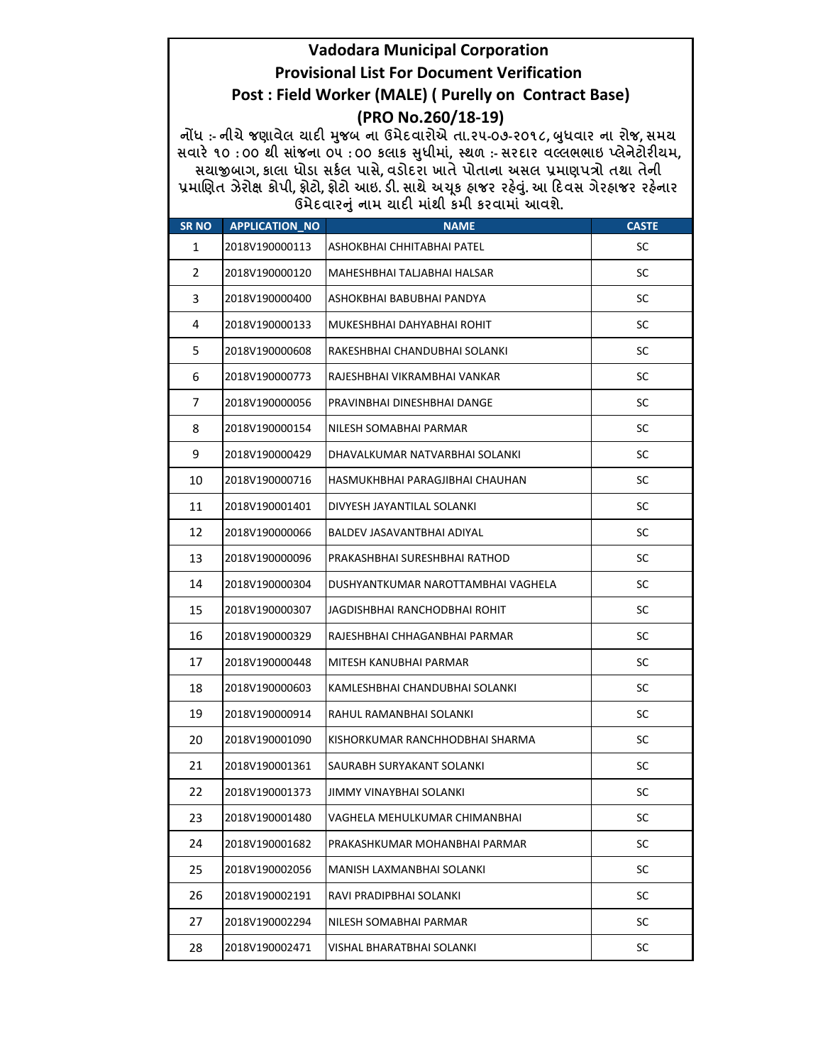## Vadodara Municipal Corporation Provisional List For Document Verification Post : Field Worker (MALE) ( Purelly on Contract Base) (PRO No.260/18-19)

નોંધ :- નીચે જણાવેલ ચાદી મુજબ ના ઉમેદવારોએ તા.૨૫-૦૭-૨૦૧૮, બુધવાર ના રોજ, સમચ સવારે ૧૦ : ૦૦ થી સાંજના ૦૫ : ૦૦ કલાક સુધીમાં, સ્થળ :- સરદાર વલ્લભભાઇ પ્લેનેટોરીયમ, સયાજીબાગ, કાલા ધોડા સર્કલ પાસે, વડોદરા ખાતે પોતાના અસલ પ્રમાણપત્રો તથા તેની પ્રમાણિત ઝેરોક્ષ કોપી, ફોટો, ફોટો આઇ. ડી. સાથે અચૂક હ્રાજર રહેવું. આ દિવસ ગેરહ્રાજર રહેનાર ઉમેદવારનું નામ ચાદી માંથી કમી કરવામાં આવશે.

| <b>SR NO</b>   | <b>APPLICATION_NO</b> | <b>NAME</b>                        | <b>CASTE</b> |
|----------------|-----------------------|------------------------------------|--------------|
| 1              | 2018V190000113        | ASHOKBHAI CHHITABHAI PATEL         | SC           |
| $\overline{2}$ | 2018V190000120        | MAHESHBHAI TALJABHAI HALSAR        | SC           |
| 3              | 2018V190000400        | ASHOKBHAI BABUBHAI PANDYA          | SC           |
| 4              | 2018V190000133        | MUKESHBHAI DAHYABHAI ROHIT         | <b>SC</b>    |
| 5              | 2018V190000608        | RAKESHBHAI CHANDUBHAI SOLANKI      | SC           |
| 6              | 2018V190000773        | RAJESHBHAI VIKRAMBHAI VANKAR       | <b>SC</b>    |
| 7              | 2018V190000056        | PRAVINBHAI DINESHBHAI DANGE        | SC           |
| 8              | 2018V190000154        | NILESH SOMABHAI PARMAR             | SC           |
| 9              | 2018V190000429        | DHAVALKUMAR NATVARBHAI SOLANKI     | <b>SC</b>    |
| 10             | 2018V190000716        | HASMUKHBHAI PARAGJIBHAI CHAUHAN    | SC           |
| 11             | 2018V190001401        | DIVYESH JAYANTILAL SOLANKI         | <b>SC</b>    |
| 12             | 2018V190000066        | BALDEV JASAVANTBHAI ADIYAL         | SC           |
| 13             | 2018V190000096        | PRAKASHBHAI SURESHBHAI RATHOD      | SC           |
| 14             | 2018V190000304        | DUSHYANTKUMAR NAROTTAMBHAI VAGHELA | <b>SC</b>    |
| 15             | 2018V190000307        | JAGDISHBHAI RANCHODBHAI ROHIT      | SC           |
| 16             | 2018V190000329        | RAJESHBHAI CHHAGANBHAI PARMAR      | SC           |
| 17             | 2018V190000448        | MITESH KANUBHAI PARMAR             | <b>SC</b>    |
| 18             | 2018V190000603        | KAMLESHBHAI CHANDUBHAI SOLANKI     | SC           |
| 19             | 2018V190000914        | RAHUL RAMANBHAI SOLANKI            | <b>SC</b>    |
| 20             | 2018V190001090        | KISHORKUMAR RANCHHODBHAI SHARMA    | <b>SC</b>    |
| 21             | 2018V190001361        | SAURABH SURYAKANT SOLANKI          | SC           |
| 22             | 2018V190001373        | JIMMY VINAYBHAI SOLANKI            | SC           |
| 23             | 2018V190001480        | VAGHELA MEHULKUMAR CHIMANBHAI      | SC           |
| 24             | 2018V190001682        | PRAKASHKUMAR MOHANBHAI PARMAR      | SC           |
| 25             | 2018V190002056        | MANISH LAXMANBHAI SOLANKI          | SC           |
| 26             | 2018V190002191        | RAVI PRADIPBHAI SOLANKI            | SC           |
| 27             | 2018V190002294        | NILESH SOMABHAI PARMAR             | SC           |
| 28             | 2018V190002471        | VISHAL BHARATBHAI SOLANKI          | SC           |